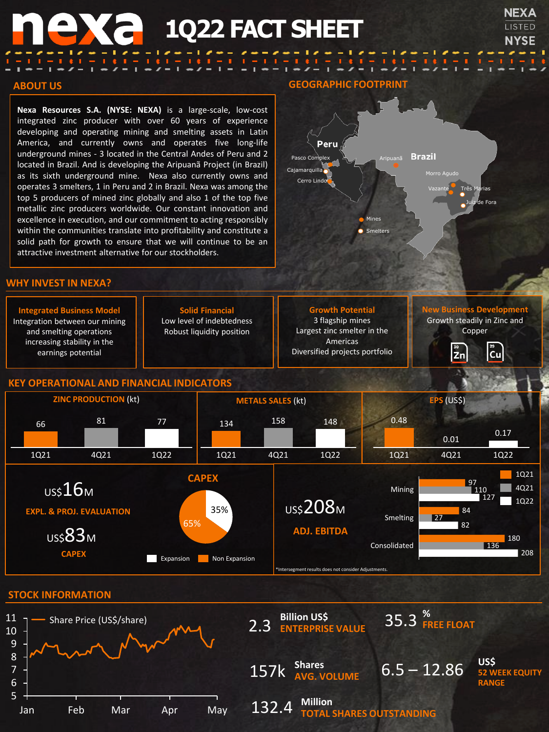# **1Q22 FACT SHEET**

**ABOUT US**

**Nexa Resources S.A. (NYSE: NEXA)** is a large-scale, low-cost integrated zinc producer with over 60 years of experience developing and operating mining and smelting assets in Latin America, and currently owns and operates five long-life underground mines - 3 located in the Central Andes of Peru and 2 located in Brazil. And is developing the Aripuanã Project (in Brazil) as its sixth underground mine. Nexa also currently owns and operates 3 smelters, 1 in Peru and 2 in Brazil. Nexa was among the top 5 producers of mined zinc globally and also 1 of the top five metallic zinc producers worldwide. Our constant innovation and excellence in execution, and our commitment to acting responsibly within the communities translate into profitability and constitute a solid path for growth to ensure that we will continue to be an attractive investment alternative for our stockholders.

# **WHY INVEST IN NEXA?**

**New Business Development Integrated Business Model Solid Financial Growth Potential** Low level of indebtedness 3 flagship mines Growth steadily in Zinc and Integration between our mining Largest zinc smelter in the Copper and smelting operations Robust liquidity position increasing stability in the Americas Diversified projects portfolio ιcμ earnings potential Zn **KEY OPERATIONAL AND FINANCIAL INDICATORS ZINC PRODUCTION** (kt) **METALS SALES** (kt) **EPS** (US\$) 0.48 66 81 77 134 158 148 0.17 0.01 1Q21 4Q21 1Q22 4Q21 1Q22 1Q21 4Q21 1Q22 1Q21 1Q21 **CAPEX** 97<br><u>| 1</u>10 *Ss* $16<sub>M</sub>$ 4Q21 Mining 127 1Q22 **EXPL. & PROJ. EVALUATION** CONTROLLER 195% US\$208M 35% 84 Smelting 27 65% 82 **ADJ. EBITDA**  $$ 

**STOCK INFORMATION**

**CAPEX**



Expansion Non Expansion

## **GEOGRAPHIC FOOTPRINT**



Consolidated

\*Intersegmentresults does not consider Adjustments.

# **NEXA** LISTED

**NYSE** 

180

208

136